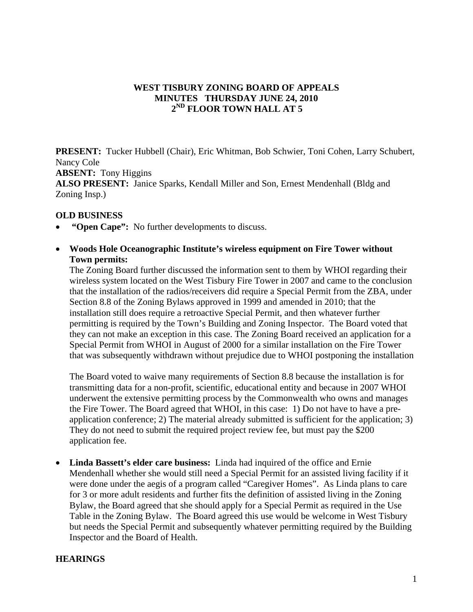## **WEST TISBURY ZONING BOARD OF APPEALS MINUTES THURSDAY JUNE 24, 2010 2ND FLOOR TOWN HALL AT 5**

**PRESENT:** Tucker Hubbell (Chair), Eric Whitman, Bob Schwier, Toni Cohen, Larry Schubert, Nancy Cole **ABSENT:** Tony Higgins **ALSO PRESENT:** Janice Sparks, Kendall Miller and Son, Ernest Mendenhall (Bldg and Zoning Insp.)

#### **OLD BUSINESS**

- **"Open Cape":** No further developments to discuss.
- **Woods Hole Oceanographic Institute's wireless equipment on Fire Tower without Town permits:**

The Zoning Board further discussed the information sent to them by WHOI regarding their wireless system located on the West Tisbury Fire Tower in 2007 and came to the conclusion that the installation of the radios/receivers did require a Special Permit from the ZBA, under Section 8.8 of the Zoning Bylaws approved in 1999 and amended in 2010; that the installation still does require a retroactive Special Permit, and then whatever further permitting is required by the Town's Building and Zoning Inspector. The Board voted that they can not make an exception in this case. The Zoning Board received an application for a Special Permit from WHOI in August of 2000 for a similar installation on the Fire Tower that was subsequently withdrawn without prejudice due to WHOI postponing the installation

The Board voted to waive many requirements of Section 8.8 because the installation is for transmitting data for a non-profit, scientific, educational entity and because in 2007 WHOI underwent the extensive permitting process by the Commonwealth who owns and manages the Fire Tower. The Board agreed that WHOI, in this case: 1) Do not have to have a preapplication conference; 2) The material already submitted is sufficient for the application; 3) They do not need to submit the required project review fee, but must pay the \$200 application fee.

• **Linda Bassett's elder care business:** Linda had inquired of the office and Ernie Mendenhall whether she would still need a Special Permit for an assisted living facility if it were done under the aegis of a program called "Caregiver Homes". As Linda plans to care for 3 or more adult residents and further fits the definition of assisted living in the Zoning Bylaw, the Board agreed that she should apply for a Special Permit as required in the Use Table in the Zoning Bylaw. The Board agreed this use would be welcome in West Tisbury but needs the Special Permit and subsequently whatever permitting required by the Building Inspector and the Board of Health.

#### **HEARINGS**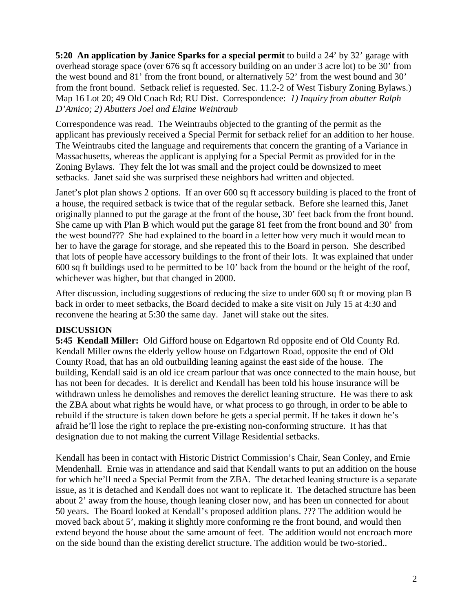**5:20 An application by Janice Sparks for a special permit** to build a 24' by 32' garage with overhead storage space (over 676 sq ft accessory building on an under 3 acre lot) to be 30' from the west bound and 81' from the front bound, or alternatively 52' from the west bound and 30' from the front bound. Setback relief is requested. Sec. 11.2-2 of West Tisbury Zoning Bylaws.) Map 16 Lot 20; 49 Old Coach Rd; RU Dist. Correspondence: *1) Inquiry from abutter Ralph D'Amico; 2) Abutters Joel and Elaine Weintraub* 

Correspondence was read. The Weintraubs objected to the granting of the permit as the applicant has previously received a Special Permit for setback relief for an addition to her house. The Weintraubs cited the language and requirements that concern the granting of a Variance in Massachusetts, whereas the applicant is applying for a Special Permit as provided for in the Zoning Bylaws. They felt the lot was small and the project could be downsized to meet setbacks. Janet said she was surprised these neighbors had written and objected.

Janet's plot plan shows 2 options. If an over 600 sq ft accessory building is placed to the front of a house, the required setback is twice that of the regular setback. Before she learned this, Janet originally planned to put the garage at the front of the house, 30' feet back from the front bound. She came up with Plan B which would put the garage 81 feet from the front bound and 30' from the west bound??? She had explained to the board in a letter how very much it would mean to her to have the garage for storage, and she repeated this to the Board in person. She described that lots of people have accessory buildings to the front of their lots. It was explained that under 600 sq ft buildings used to be permitted to be 10' back from the bound or the height of the roof, whichever was higher, but that changed in 2000.

After discussion, including suggestions of reducing the size to under 600 sq ft or moving plan B back in order to meet setbacks, the Board decided to make a site visit on July 15 at 4:30 and reconvene the hearing at 5:30 the same day. Janet will stake out the sites.

# **DISCUSSION**

**5:45 Kendall Miller:** Old Gifford house on Edgartown Rd opposite end of Old County Rd. Kendall Miller owns the elderly yellow house on Edgartown Road, opposite the end of Old County Road, that has an old outbuilding leaning against the east side of the house. The building, Kendall said is an old ice cream parlour that was once connected to the main house, but has not been for decades. It is derelict and Kendall has been told his house insurance will be withdrawn unless he demolishes and removes the derelict leaning structure. He was there to ask the ZBA about what rights he would have, or what process to go through, in order to be able to rebuild if the structure is taken down before he gets a special permit. If he takes it down he's afraid he'll lose the right to replace the pre-existing non-conforming structure. It has that designation due to not making the current Village Residential setbacks.

Kendall has been in contact with Historic District Commission's Chair, Sean Conley, and Ernie Mendenhall. Ernie was in attendance and said that Kendall wants to put an addition on the house for which he'll need a Special Permit from the ZBA. The detached leaning structure is a separate issue, as it is detached and Kendall does not want to replicate it. The detached structure has been about 2' away from the house, though leaning closer now, and has been un connected for about 50 years. The Board looked at Kendall's proposed addition plans. ??? The addition would be moved back about 5', making it slightly more conforming re the front bound, and would then extend beyond the house about the same amount of feet. The addition would not encroach more on the side bound than the existing derelict structure. The addition would be two-storied..